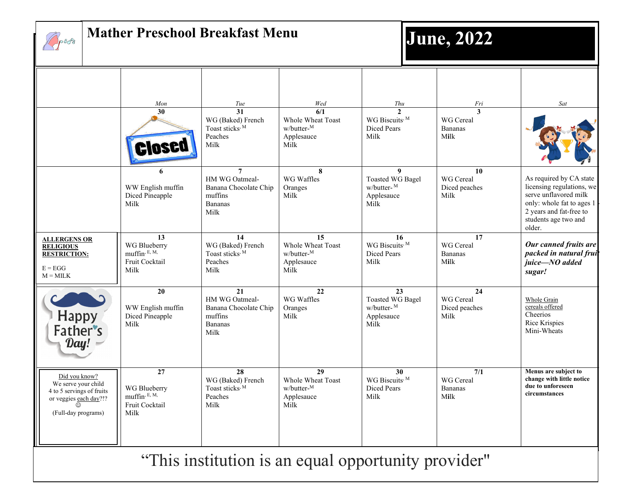

### **Mather Preschool Breakfast Menu**



|                                                                                                                         | Mon                                                                        | Tue                                                                                            | Wed                                                                       | Thu                                                                             | Fri                                                     | Sat                                                                                                                                                                     |  |
|-------------------------------------------------------------------------------------------------------------------------|----------------------------------------------------------------------------|------------------------------------------------------------------------------------------------|---------------------------------------------------------------------------|---------------------------------------------------------------------------------|---------------------------------------------------------|-------------------------------------------------------------------------------------------------------------------------------------------------------------------------|--|
|                                                                                                                         | 30<br><b>IOSE</b>                                                          | $\overline{31}$<br>WG (Baked) French<br>Toast sticks, M<br>Peaches<br>Milk                     | $\overline{6/1}$<br>Whole Wheat Toast<br>w/butter-M<br>Applesauce<br>Milk | $\mathbf{2}$<br>WG Biscuits, M<br>Diced Pears<br>Milk                           | $\mathbf{3}$<br>WG Cereal<br><b>Bananas</b><br>Milk     |                                                                                                                                                                         |  |
|                                                                                                                         | 6<br>WW English muffin<br>Diced Pineapple<br>Milk                          | $\overline{7}$<br>HM WG Oatmeal-<br>Banana Chocolate Chip<br>muffins<br><b>Bananas</b><br>Milk | 8<br>WG Waffles<br>Oranges<br>Milk                                        | 9<br><b>Toasted WG Bagel</b><br>w/butter-M<br>Applesauce<br>Milk                | 10<br>WG Cereal<br>Diced peaches<br>Milk                | As required by CA state<br>licensing regulations, we<br>serve unflavored milk<br>only: whole fat to ages 1<br>2 years and fat-free to<br>students age two and<br>older. |  |
| <b>ALLERGENS OR</b><br><b>RELIGIOUS</b><br><b>RESTRICTION:</b><br>$E = EGG$<br>$M = MILK$                               | 13<br>WG Blueberry<br>muffin, E, M,<br>Fruit Cocktail<br>Milk              | 14<br>WG (Baked) French<br>Toast sticks, M<br>Peaches<br>Milk                                  | 15<br>Whole Wheat Toast<br>w/butter-M<br>Applesauce<br>Milk               | 16<br>WG Biscuits, M<br><b>Diced Pears</b><br>Milk                              | 17<br><b>WG</b> Cereal<br><b>Bananas</b><br>Milk        | Our canned fruits are<br>packed in natural frui<br>juice-NO added<br>sugar!                                                                                             |  |
| Happy<br>Father's<br>Day!                                                                                               | 20<br>WW English muffin<br>Diced Pineapple<br>Milk                         | 21<br>HM WG Oatmeal-<br>Banana Chocolate Chip<br>muffins<br><b>Bananas</b><br>Milk             | 22<br>WG Waffles<br>Oranges<br>Milk                                       | 23<br><b>Toasted WG Bagel</b><br>$w/butter-$ <sup>M</sup><br>Applesauce<br>Milk | 24<br>WG Cereal<br>Diced peaches<br>Milk                | Whole Grain<br>cereals offered<br>Cheerios<br>Rice Krispies<br>Mini-Wheats                                                                                              |  |
| Did you know?<br>We serve your child<br>4 to 5 servings of fruits<br>or veggies each day?!?<br>⊙<br>(Full-day programs) | $\overline{27}$<br>WG Blueberry<br>muffin, E, M,<br>Fruit Cocktail<br>Milk | 28<br>WG (Baked) French<br>Toast sticks, M<br>Peaches<br>Milk                                  | 29<br>Whole Wheat Toast<br>w/butter-M<br>Applesauce<br>Milk               | 30<br>WG Biscuits, M<br><b>Diced Pears</b><br>Milk                              | $\overline{7/1}$<br>WG Cereal<br><b>Bananas</b><br>Milk | Menus are subject to<br>change with little notice<br>due to unforeseen<br>circumstances                                                                                 |  |
| "This institution is an equal opportunity provider"                                                                     |                                                                            |                                                                                                |                                                                           |                                                                                 |                                                         |                                                                                                                                                                         |  |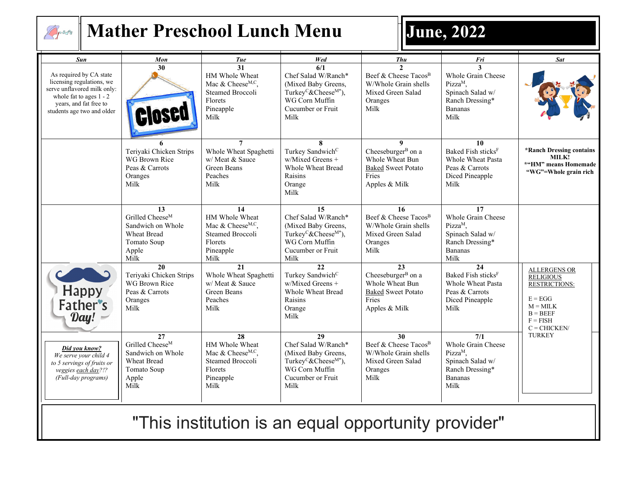

## **Mather Preschool Lunch Menu June, 2022**

| Sun                                                                                                                                                                      | Mon                                                                                                          | Tue                                                                                                                           | Wed                                                                                                                                              | <b>Thu</b>                                                                                                        | Fri                                                                                                                | <b>Sat</b>                                                                                                                               |
|--------------------------------------------------------------------------------------------------------------------------------------------------------------------------|--------------------------------------------------------------------------------------------------------------|-------------------------------------------------------------------------------------------------------------------------------|--------------------------------------------------------------------------------------------------------------------------------------------------|-------------------------------------------------------------------------------------------------------------------|--------------------------------------------------------------------------------------------------------------------|------------------------------------------------------------------------------------------------------------------------------------------|
| As required by CA state<br>licensing regulations, we<br>serve unflavored milk only:<br>whole fat to ages $1 - 2$<br>years, and fat free to<br>students age two and older | 30                                                                                                           | 31<br>HM Whole Wheat<br>Mac & Cheese <sup>M,C</sup> ,<br><b>Steamed Broccoli</b><br>Florets<br>Pineapple<br>Milk              | 6/1<br>Chef Salad W/Ranch*<br>(Mixed Baby Greens,<br>Turkey <sup>C</sup> &Cheese <sup>M*</sup> ),<br>WG Corn Muffin<br>Cucumber or Fruit<br>Milk | $\mathcal{L}$<br>Beef & Cheese Tacos <sup>B</sup><br>W/Whole Grain shells<br>Mixed Green Salad<br>Oranges<br>Milk | Whole Grain Cheese<br>Pizza <sup>M</sup> ,<br>Spinach Salad w/<br>Ranch Dressing*<br><b>Bananas</b><br>Milk        |                                                                                                                                          |
|                                                                                                                                                                          | Teriyaki Chicken Strips<br>WG Brown Rice<br>Peas & Carrots<br>Oranges<br>Milk                                | Whole Wheat Spaghetti<br>w/ Meat & Sauce<br>Green Beans<br>Peaches<br>Milk                                                    | 8<br>Turkey Sandwich <sup>C</sup><br>w/Mixed Greens +<br><b>Whole Wheat Bread</b><br>Raisins<br>Orange<br>Milk                                   | 9<br>Cheeseburger <sup>B</sup> on a<br>Whole Wheat Bun<br><b>Baked Sweet Potato</b><br>Fries<br>Apples & Milk     | 10<br>Baked Fish sticks <sup>F</sup><br>Whole Wheat Pasta<br>Peas & Carrots<br>Diced Pineapple<br>Milk             | *Ranch Dressing contains<br>MILK!<br>*"HM" means Homemade<br>"WG"=Whole grain rich                                                       |
|                                                                                                                                                                          | 13<br>Grilled Cheese <sup>M</sup><br>Sandwich on Whole<br><b>Wheat Bread</b><br>Tomato Soup<br>Apple<br>Milk | 14<br>HM Whole Wheat<br>Mac & Cheese <sup>M,C</sup> ,<br>Steamed Broccoli<br>Florets<br>Pineapple<br>Milk                     | 15<br>Chef Salad W/Ranch*<br>(Mixed Baby Greens,<br>Turkey <sup>C</sup> &Cheese <sup>M*</sup> ),<br>WG Corn Muffin<br>Cucumber or Fruit<br>Milk  | 16<br>Beef & Cheese Tacos <sup>B</sup><br>W/Whole Grain shells<br>Mixed Green Salad<br>Oranges<br>Milk            | 17<br>Whole Grain Cheese<br>$Pizza^M$ ,<br>Spinach Salad w/<br>Ranch Dressing*<br>Bananas<br>Milk                  |                                                                                                                                          |
| Happy<br>Father's<br>Day!                                                                                                                                                | 20<br>Teriyaki Chicken Strips<br>WG Brown Rice<br>Peas & Carrots<br>Oranges<br>Milk                          | 21<br>Whole Wheat Spaghetti<br>w/ Meat & Sauce<br>Green Beans<br>Peaches<br>Milk                                              | 22<br>Turkey Sandwich <sup>C</sup><br>w/Mixed Greens +<br>Whole Wheat Bread<br>Raisins<br>Orange<br>Milk                                         | 23<br>Cheeseburger <sup>B</sup> on a<br>Whole Wheat Bun<br><b>Baked Sweet Potato</b><br>Fries<br>Apples & Milk    | 24<br>Baked Fish sticks <sup>F</sup><br><b>Whole Wheat Pasta</b><br>Peas & Carrots<br>Diced Pineapple<br>Milk      | <b>ALLERGENS OR</b><br><b>RELIGIOUS</b><br><b>RESTRICTIONS:</b><br>$E = EGG$<br>$M = MILK$<br>$B = BEEF$<br>$F = FISH$<br>$C = CHICKEN/$ |
| Did you know?<br>We serve your child 4<br>to 5 servings of fruits or<br>veggies each day?!?<br>(Full-day programs)                                                       | 27<br>Grilled Cheese <sup>M</sup><br>Sandwich on Whole<br>Wheat Bread<br>Tomato Soup<br>Apple<br>Milk        | $\overline{28}$<br>HM Whole Wheat<br>Mac & Cheese <sup>M,C</sup> ,<br><b>Steamed Broccoli</b><br>Florets<br>Pineapple<br>Milk | 29<br>Chef Salad W/Ranch*<br>(Mixed Baby Greens,<br>Turkey <sup>C</sup> &Cheese <sup>M*</sup> ),<br>WG Corn Muffin<br>Cucumber or Fruit<br>Milk  | 30<br>Beef & Cheese Tacos <sup>B</sup><br>W/Whole Grain shells<br>Mixed Green Salad<br>Oranges<br>Milk            | 7/1<br>Whole Grain Cheese<br>Pizza <sup>M</sup> ,<br>Spinach Salad w/<br>Ranch Dressing*<br><b>Bananas</b><br>Milk | <b>TURKEY</b>                                                                                                                            |

"This institution is an equal opportunity provider"